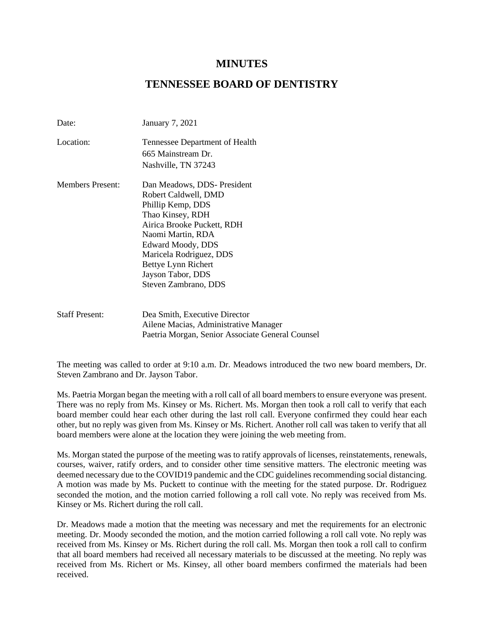# **MINUTES**

# **TENNESSEE BOARD OF DENTISTRY**

| Date:                   | January 7, 2021                                  |
|-------------------------|--------------------------------------------------|
| Location:               | Tennessee Department of Health                   |
|                         | 665 Mainstream Dr.                               |
|                         | Nashville, TN 37243                              |
| <b>Members Present:</b> | Dan Meadows, DDS-President                       |
|                         | Robert Caldwell, DMD                             |
|                         | Phillip Kemp, DDS                                |
|                         | Thao Kinsey, RDH                                 |
|                         | Airica Brooke Puckett, RDH                       |
|                         | Naomi Martin, RDA                                |
|                         | Edward Moody, DDS                                |
|                         | Maricela Rodriguez, DDS                          |
|                         | Bettye Lynn Richert                              |
|                         | Jayson Tabor, DDS                                |
|                         | Steven Zambrano, DDS                             |
| <b>Staff Present:</b>   | Dea Smith, Executive Director                    |
|                         | Ailene Macias, Administrative Manager            |
|                         | Paetria Morgan, Senior Associate General Counsel |

The meeting was called to order at 9:10 a.m. Dr. Meadows introduced the two new board members, Dr. Steven Zambrano and Dr. Jayson Tabor.

Ms. Paetria Morgan began the meeting with a roll call of all board members to ensure everyone was present. There was no reply from Ms. Kinsey or Ms. Richert. Ms. Morgan then took a roll call to verify that each board member could hear each other during the last roll call. Everyone confirmed they could hear each other, but no reply was given from Ms. Kinsey or Ms. Richert. Another roll call was taken to verify that all board members were alone at the location they were joining the web meeting from.

Ms. Morgan stated the purpose of the meeting was to ratify approvals of licenses, reinstatements, renewals, courses, waiver, ratify orders, and to consider other time sensitive matters. The electronic meeting was deemed necessary due to the COVID19 pandemic and the CDC guidelines recommending social distancing. A motion was made by Ms. Puckett to continue with the meeting for the stated purpose. Dr. Rodriguez seconded the motion, and the motion carried following a roll call vote. No reply was received from Ms. Kinsey or Ms. Richert during the roll call.

Dr. Meadows made a motion that the meeting was necessary and met the requirements for an electronic meeting. Dr. Moody seconded the motion, and the motion carried following a roll call vote. No reply was received from Ms. Kinsey or Ms. Richert during the roll call. Ms. Morgan then took a roll call to confirm that all board members had received all necessary materials to be discussed at the meeting. No reply was received from Ms. Richert or Ms. Kinsey, all other board members confirmed the materials had been received.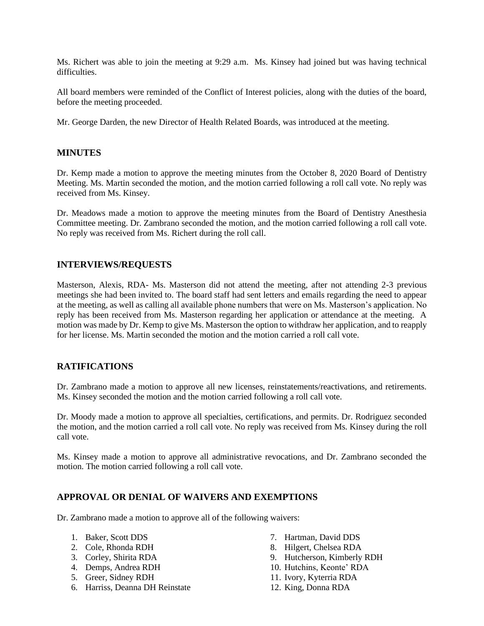Ms. Richert was able to join the meeting at 9:29 a.m. Ms. Kinsey had joined but was having technical difficulties.

All board members were reminded of the Conflict of Interest policies, along with the duties of the board, before the meeting proceeded.

Mr. George Darden, the new Director of Health Related Boards, was introduced at the meeting.

#### **MINUTES**

Dr. Kemp made a motion to approve the meeting minutes from the October 8, 2020 Board of Dentistry Meeting. Ms. Martin seconded the motion, and the motion carried following a roll call vote. No reply was received from Ms. Kinsey.

Dr. Meadows made a motion to approve the meeting minutes from the Board of Dentistry Anesthesia Committee meeting. Dr. Zambrano seconded the motion, and the motion carried following a roll call vote. No reply was received from Ms. Richert during the roll call.

#### **INTERVIEWS/REQUESTS**

Masterson, Alexis, RDA- Ms. Masterson did not attend the meeting, after not attending 2-3 previous meetings she had been invited to. The board staff had sent letters and emails regarding the need to appear at the meeting, as well as calling all available phone numbers that were on Ms. Masterson's application. No reply has been received from Ms. Masterson regarding her application or attendance at the meeting. A motion was made by Dr. Kemp to give Ms. Masterson the option to withdraw her application, and to reapply for her license. Ms. Martin seconded the motion and the motion carried a roll call vote.

### **RATIFICATIONS**

Dr. Zambrano made a motion to approve all new licenses, reinstatements/reactivations, and retirements. Ms. Kinsey seconded the motion and the motion carried following a roll call vote.

Dr. Moody made a motion to approve all specialties, certifications, and permits. Dr. Rodriguez seconded the motion, and the motion carried a roll call vote. No reply was received from Ms. Kinsey during the roll call vote.

Ms. Kinsey made a motion to approve all administrative revocations, and Dr. Zambrano seconded the motion. The motion carried following a roll call vote.

#### **APPROVAL OR DENIAL OF WAIVERS AND EXEMPTIONS**

Dr. Zambrano made a motion to approve all of the following waivers:

- 1. Baker, Scott DDS
- 2. Cole, Rhonda RDH
- 3. Corley, Shirita RDA
- 4. Demps, Andrea RDH
- 5. Greer, Sidney RDH
- 6. Harriss, Deanna DH Reinstate
- 7. Hartman, David DDS
- 8. Hilgert, Chelsea RDA
- 9. Hutcherson, Kimberly RDH
- 10. Hutchins, Keonte' RDA
- 11. Ivory, Kyterria RDA
- 12. King, Donna RDA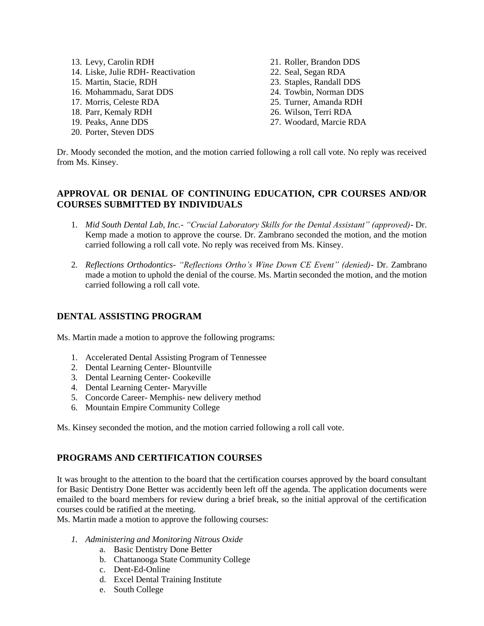- 13. Levy, Carolin RDH 14. Liske, Julie RDH- Reactivation 15. Martin, Stacie, RDH 16. Mohammadu, Sarat DDS 17. Morris, Celeste RDA 18. Parr, Kemaly RDH 19. Peaks, Anne DDS
- 20. Porter, Steven DDS
- 21. Roller, Brandon DDS 22. Seal, Segan RDA 23. Staples, Randall DDS 24. Towbin, Norman DDS 25. Turner, Amanda RDH 26. Wilson, Terri RDA
- 27. Woodard, Marcie RDA

Dr. Moody seconded the motion, and the motion carried following a roll call vote. No reply was received from Ms. Kinsey.

### **APPROVAL OR DENIAL OF CONTINUING EDUCATION, CPR COURSES AND/OR COURSES SUBMITTED BY INDIVIDUALS**

- 1. *Mid South Dental Lab, Inc.- "Crucial Laboratory Skills for the Dental Assistant" (approved)* Dr. Kemp made a motion to approve the course. Dr. Zambrano seconded the motion, and the motion carried following a roll call vote. No reply was received from Ms. Kinsey.
- 2. *Reflections Orthodontics- "Reflections Ortho's Wine Down CE Event" (denied)* Dr. Zambrano made a motion to uphold the denial of the course. Ms. Martin seconded the motion, and the motion carried following a roll call vote.

#### **DENTAL ASSISTING PROGRAM**

Ms. Martin made a motion to approve the following programs:

- 1. Accelerated Dental Assisting Program of Tennessee
- 2. Dental Learning Center- Blountville
- 3. Dental Learning Center- Cookeville
- 4. Dental Learning Center- Maryville
- 5. Concorde Career- Memphis- new delivery method
- 6. Mountain Empire Community College

Ms. Kinsey seconded the motion, and the motion carried following a roll call vote.

### **PROGRAMS AND CERTIFICATION COURSES**

It was brought to the attention to the board that the certification courses approved by the board consultant for Basic Dentistry Done Better was accidently been left off the agenda. The application documents were emailed to the board members for review during a brief break, so the initial approval of the certification courses could be ratified at the meeting.

Ms. Martin made a motion to approve the following courses:

- *1. Administering and Monitoring Nitrous Oxide*
	- a. Basic Dentistry Done Better
	- b. Chattanooga State Community College
	- c. Dent-Ed-Online
	- d. Excel Dental Training Institute
	- e. South College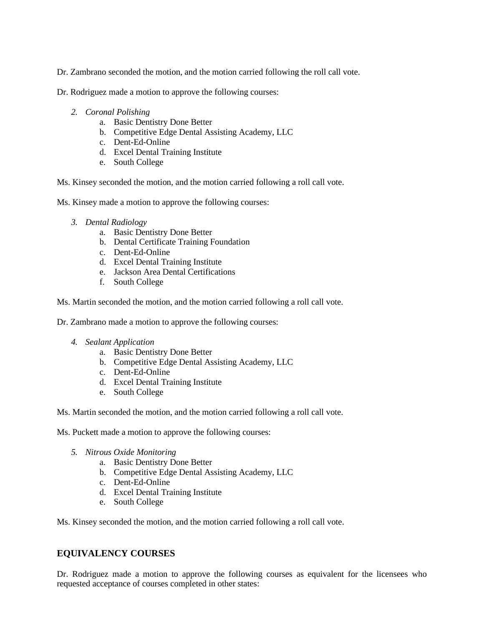Dr. Zambrano seconded the motion, and the motion carried following the roll call vote.

Dr. Rodriguez made a motion to approve the following courses:

- *2. Coronal Polishing*
	- a. Basic Dentistry Done Better
	- b. Competitive Edge Dental Assisting Academy, LLC
	- c. Dent-Ed-Online
	- d. Excel Dental Training Institute
	- e. South College

Ms. Kinsey seconded the motion, and the motion carried following a roll call vote.

Ms. Kinsey made a motion to approve the following courses:

- *3. Dental Radiology*
	- a. Basic Dentistry Done Better
	- b. Dental Certificate Training Foundation
	- c. Dent-Ed-Online
	- d. Excel Dental Training Institute
	- e. Jackson Area Dental Certifications
	- f. South College

Ms. Martin seconded the motion, and the motion carried following a roll call vote.

Dr. Zambrano made a motion to approve the following courses:

- *4. Sealant Application*
	- a. Basic Dentistry Done Better
	- b. Competitive Edge Dental Assisting Academy, LLC
	- c. Dent-Ed-Online
	- d. Excel Dental Training Institute
	- e. South College

Ms. Martin seconded the motion, and the motion carried following a roll call vote.

Ms. Puckett made a motion to approve the following courses:

- *5. Nitrous Oxide Monitoring* 
	- a. Basic Dentistry Done Better
	- b. Competitive Edge Dental Assisting Academy, LLC
	- c. Dent-Ed-Online
	- d. Excel Dental Training Institute
	- e. South College

Ms. Kinsey seconded the motion, and the motion carried following a roll call vote.

### **EQUIVALENCY COURSES**

Dr. Rodriguez made a motion to approve the following courses as equivalent for the licensees who requested acceptance of courses completed in other states: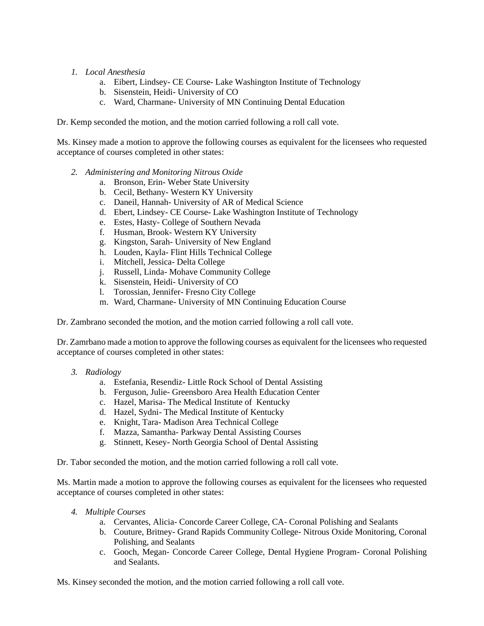#### *1. Local Anesthesia*

- a. Eibert, Lindsey- CE Course- Lake Washington Institute of Technology
- b. Sisenstein, Heidi- University of CO
- c. Ward, Charmane- University of MN Continuing Dental Education

Dr. Kemp seconded the motion, and the motion carried following a roll call vote.

Ms. Kinsey made a motion to approve the following courses as equivalent for the licensees who requested acceptance of courses completed in other states:

- *2. Administering and Monitoring Nitrous Oxide*
	- a. Bronson, Erin- Weber State University
	- b. Cecil, Bethany- Western KY University
	- c. Daneil, Hannah- University of AR of Medical Science
	- d. Ebert, Lindsey- CE Course- Lake Washington Institute of Technology
	- e. Estes, Hasty- College of Southern Nevada
	- f. Husman, Brook- Western KY University
	- g. Kingston, Sarah- University of New England
	- h. Louden, Kayla- Flint Hills Technical College
	- i. Mitchell, Jessica- Delta College
	- j. Russell, Linda- Mohave Community College
	- k. Sisenstein, Heidi- University of CO
	- l. Torossian, Jennifer- Fresno City College
	- m. Ward, Charmane- University of MN Continuing Education Course

Dr. Zambrano seconded the motion, and the motion carried following a roll call vote.

Dr. Zamrbano made a motion to approve the following courses as equivalent for the licensees who requested acceptance of courses completed in other states:

- *3. Radiology*
	- a. Estefania, Resendiz- Little Rock School of Dental Assisting
	- b. Ferguson, Julie- Greensboro Area Health Education Center
	- c. Hazel, Marisa- The Medical Institute of Kentucky
	- d. Hazel, Sydni- The Medical Institute of Kentucky
	- e. Knight, Tara- Madison Area Technical College
	- f. Mazza, Samantha- Parkway Dental Assisting Courses
	- g. Stinnett, Kesey- North Georgia School of Dental Assisting

Dr. Tabor seconded the motion, and the motion carried following a roll call vote.

Ms. Martin made a motion to approve the following courses as equivalent for the licensees who requested acceptance of courses completed in other states:

- *4. Multiple Courses*
	- a. Cervantes, Alicia- Concorde Career College, CA- Coronal Polishing and Sealants
	- b. Couture, Britney- Grand Rapids Community College- Nitrous Oxide Monitoring, Coronal Polishing, and Sealants
	- c. Gooch, Megan- Concorde Career College, Dental Hygiene Program- Coronal Polishing and Sealants.

Ms. Kinsey seconded the motion, and the motion carried following a roll call vote.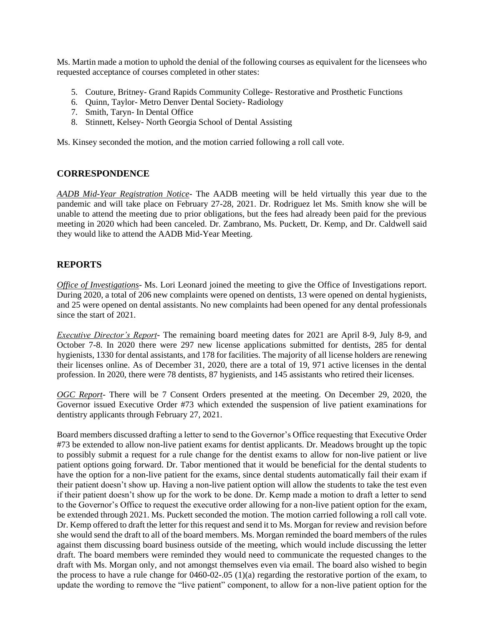Ms. Martin made a motion to uphold the denial of the following courses as equivalent for the licensees who requested acceptance of courses completed in other states:

- 5. Couture, Britney- Grand Rapids Community College- Restorative and Prosthetic Functions
- 6. Quinn, Taylor- Metro Denver Dental Society- Radiology
- 7. Smith, Taryn- In Dental Office
- 8. Stinnett, Kelsey- North Georgia School of Dental Assisting

Ms. Kinsey seconded the motion, and the motion carried following a roll call vote.

#### **CORRESPONDENCE**

*AADB Mid-Year Registration Notice*- The AADB meeting will be held virtually this year due to the pandemic and will take place on February 27-28, 2021. Dr. Rodriguez let Ms. Smith know she will be unable to attend the meeting due to prior obligations, but the fees had already been paid for the previous meeting in 2020 which had been canceled. Dr. Zambrano, Ms. Puckett, Dr. Kemp, and Dr. Caldwell said they would like to attend the AADB Mid-Year Meeting.

#### **REPORTS**

*Office of Investigations*- Ms. Lori Leonard joined the meeting to give the Office of Investigations report. During 2020, a total of 206 new complaints were opened on dentists, 13 were opened on dental hygienists, and 25 were opened on dental assistants. No new complaints had been opened for any dental professionals since the start of 2021.

*Executive Director's Report*- The remaining board meeting dates for 2021 are April 8-9, July 8-9, and October 7-8. In 2020 there were 297 new license applications submitted for dentists, 285 for dental hygienists, 1330 for dental assistants, and 178 for facilities. The majority of all license holders are renewing their licenses online. As of December 31, 2020, there are a total of 19, 971 active licenses in the dental profession. In 2020, there were 78 dentists, 87 hygienists, and 145 assistants who retired their licenses.

*OGC Report*- There will be 7 Consent Orders presented at the meeting. On December 29, 2020, the Governor issued Executive Order #73 which extended the suspension of live patient examinations for dentistry applicants through February 27, 2021.

Board members discussed drafting a letter to send to the Governor's Office requesting that Executive Order #73 be extended to allow non-live patient exams for dentist applicants. Dr. Meadows brought up the topic to possibly submit a request for a rule change for the dentist exams to allow for non-live patient or live patient options going forward. Dr. Tabor mentioned that it would be beneficial for the dental students to have the option for a non-live patient for the exams, since dental students automatically fail their exam if their patient doesn't show up. Having a non-live patient option will allow the students to take the test even if their patient doesn't show up for the work to be done. Dr. Kemp made a motion to draft a letter to send to the Governor's Office to request the executive order allowing for a non-live patient option for the exam, be extended through 2021. Ms. Puckett seconded the motion. The motion carried following a roll call vote. Dr. Kemp offered to draft the letter for this request and send it to Ms. Morgan for review and revision before she would send the draft to all of the board members. Ms. Morgan reminded the board members of the rules against them discussing board business outside of the meeting, which would include discussing the letter draft. The board members were reminded they would need to communicate the requested changes to the draft with Ms. Morgan only, and not amongst themselves even via email. The board also wished to begin the process to have a rule change for 0460-02-.05 (1)(a) regarding the restorative portion of the exam, to update the wording to remove the "live patient" component, to allow for a non-live patient option for the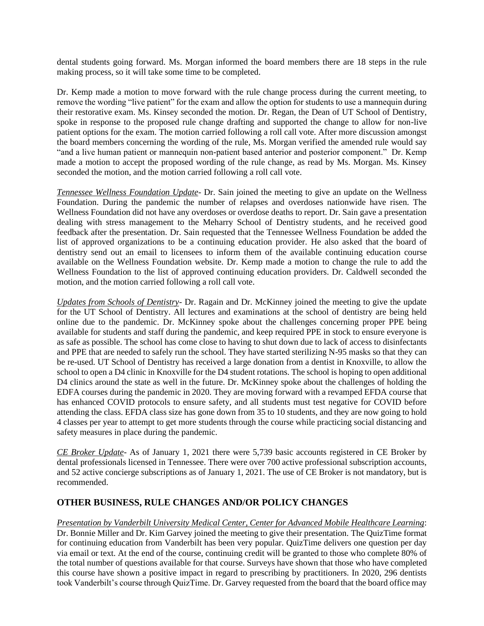dental students going forward. Ms. Morgan informed the board members there are 18 steps in the rule making process, so it will take some time to be completed.

Dr. Kemp made a motion to move forward with the rule change process during the current meeting, to remove the wording "live patient" for the exam and allow the option for students to use a mannequin during their restorative exam. Ms. Kinsey seconded the motion. Dr. Regan, the Dean of UT School of Dentistry, spoke in response to the proposed rule change drafting and supported the change to allow for non-live patient options for the exam. The motion carried following a roll call vote. After more discussion amongst the board members concerning the wording of the rule, Ms. Morgan verified the amended rule would say "and a live human patient or mannequin non-patient based anterior and posterior component." Dr. Kemp made a motion to accept the proposed wording of the rule change, as read by Ms. Morgan. Ms. Kinsey seconded the motion, and the motion carried following a roll call vote.

*Tennessee Wellness Foundation Update*- Dr. Sain joined the meeting to give an update on the Wellness Foundation. During the pandemic the number of relapses and overdoses nationwide have risen. The Wellness Foundation did not have any overdoses or overdose deaths to report. Dr. Sain gave a presentation dealing with stress management to the Meharry School of Dentistry students, and he received good feedback after the presentation. Dr. Sain requested that the Tennessee Wellness Foundation be added the list of approved organizations to be a continuing education provider. He also asked that the board of dentistry send out an email to licensees to inform them of the available continuing education course available on the Wellness Foundation website. Dr. Kemp made a motion to change the rule to add the Wellness Foundation to the list of approved continuing education providers. Dr. Caldwell seconded the motion, and the motion carried following a roll call vote.

*Updates from Schools of Dentistry*- Dr. Ragain and Dr. McKinney joined the meeting to give the update for the UT School of Dentistry. All lectures and examinations at the school of dentistry are being held online due to the pandemic. Dr. McKinney spoke about the challenges concerning proper PPE being available for students and staff during the pandemic, and keep required PPE in stock to ensure everyone is as safe as possible. The school has come close to having to shut down due to lack of access to disinfectants and PPE that are needed to safely run the school. They have started sterilizing N-95 masks so that they can be re-used. UT School of Dentistry has received a large donation from a dentist in Knoxville, to allow the school to open a D4 clinic in Knoxville for the D4 student rotations. The school is hoping to open additional D4 clinics around the state as well in the future. Dr. McKinney spoke about the challenges of holding the EDFA courses during the pandemic in 2020. They are moving forward with a revamped EFDA course that has enhanced COVID protocols to ensure safety, and all students must test negative for COVID before attending the class. EFDA class size has gone down from 35 to 10 students, and they are now going to hold 4 classes per year to attempt to get more students through the course while practicing social distancing and safety measures in place during the pandemic.

*CE Broker Update*- As of January 1, 2021 there were 5,739 basic accounts registered in CE Broker by dental professionals licensed in Tennessee. There were over 700 active professional subscription accounts, and 52 active concierge subscriptions as of January 1, 2021. The use of CE Broker is not mandatory, but is recommended.

### **OTHER BUSINESS, RULE CHANGES AND/OR POLICY CHANGES**

*Presentation by Vanderbilt University Medical Center, Center for Advanced Mobile Healthcare Learning*: Dr. Bonnie Miller and Dr. Kim Garvey joined the meeting to give their presentation. The QuizTime format for continuing education from Vanderbilt has been very popular. QuizTime delivers one question per day via email or text. At the end of the course, continuing credit will be granted to those who complete 80% of the total number of questions available for that course. Surveys have shown that those who have completed this course have shown a positive impact in regard to prescribing by practitioners. In 2020, 296 dentists took Vanderbilt's course through QuizTime. Dr. Garvey requested from the board that the board office may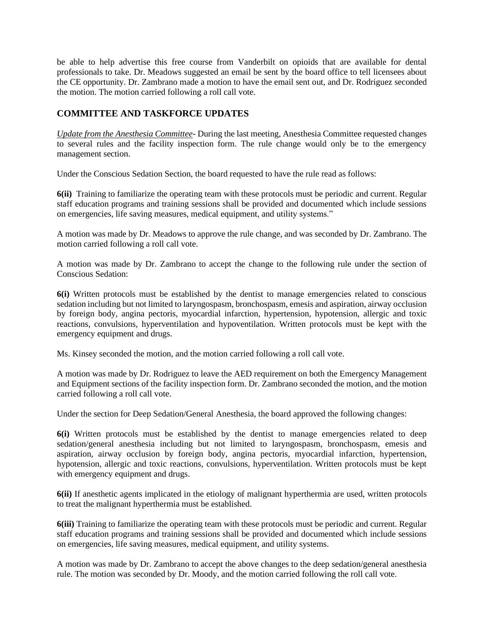be able to help advertise this free course from Vanderbilt on opioids that are available for dental professionals to take. Dr. Meadows suggested an email be sent by the board office to tell licensees about the CE opportunity. Dr. Zambrano made a motion to have the email sent out, and Dr. Rodriguez seconded the motion. The motion carried following a roll call vote.

## **COMMITTEE AND TASKFORCE UPDATES**

*Update from the Anesthesia Committee*- During the last meeting, Anesthesia Committee requested changes to several rules and the facility inspection form. The rule change would only be to the emergency management section.

Under the Conscious Sedation Section, the board requested to have the rule read as follows:

**6(ii)** Training to familiarize the operating team with these protocols must be periodic and current. Regular staff education programs and training sessions shall be provided and documented which include sessions on emergencies, life saving measures, medical equipment, and utility systems."

A motion was made by Dr. Meadows to approve the rule change, and was seconded by Dr. Zambrano. The motion carried following a roll call vote.

A motion was made by Dr. Zambrano to accept the change to the following rule under the section of Conscious Sedation:

**6(i)** Written protocols must be established by the dentist to manage emergencies related to conscious sedation including but not limited to laryngospasm, bronchospasm, emesis and aspiration, airway occlusion by foreign body, angina pectoris, myocardial infarction, hypertension, hypotension, allergic and toxic reactions, convulsions, hyperventilation and hypoventilation. Written protocols must be kept with the emergency equipment and drugs.

Ms. Kinsey seconded the motion, and the motion carried following a roll call vote.

A motion was made by Dr. Rodriguez to leave the AED requirement on both the Emergency Management and Equipment sections of the facility inspection form. Dr. Zambrano seconded the motion, and the motion carried following a roll call vote.

Under the section for Deep Sedation/General Anesthesia, the board approved the following changes:

**6(i)** Written protocols must be established by the dentist to manage emergencies related to deep sedation/general anesthesia including but not limited to laryngospasm, bronchospasm, emesis and aspiration, airway occlusion by foreign body, angina pectoris, myocardial infarction, hypertension, hypotension, allergic and toxic reactions, convulsions, hyperventilation. Written protocols must be kept with emergency equipment and drugs.

**6(ii)** If anesthetic agents implicated in the etiology of malignant hyperthermia are used, written protocols to treat the malignant hyperthermia must be established.

**6(iii)** Training to familiarize the operating team with these protocols must be periodic and current. Regular staff education programs and training sessions shall be provided and documented which include sessions on emergencies, life saving measures, medical equipment, and utility systems.

A motion was made by Dr. Zambrano to accept the above changes to the deep sedation/general anesthesia rule. The motion was seconded by Dr. Moody, and the motion carried following the roll call vote.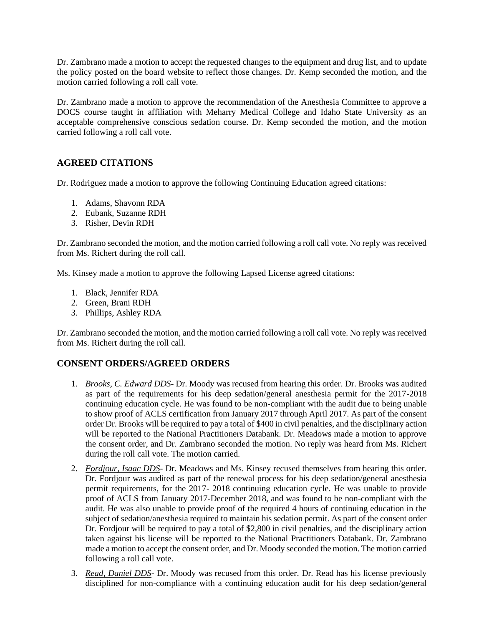Dr. Zambrano made a motion to accept the requested changes to the equipment and drug list, and to update the policy posted on the board website to reflect those changes. Dr. Kemp seconded the motion, and the motion carried following a roll call vote.

Dr. Zambrano made a motion to approve the recommendation of the Anesthesia Committee to approve a DOCS course taught in affiliation with Meharry Medical College and Idaho State University as an acceptable comprehensive conscious sedation course. Dr. Kemp seconded the motion, and the motion carried following a roll call vote.

# **AGREED CITATIONS**

Dr. Rodriguez made a motion to approve the following Continuing Education agreed citations:

- 1. Adams, Shavonn RDA
- 2. Eubank, Suzanne RDH
- 3. Risher, Devin RDH

Dr. Zambrano seconded the motion, and the motion carried following a roll call vote. No reply was received from Ms. Richert during the roll call.

Ms. Kinsey made a motion to approve the following Lapsed License agreed citations:

- 1. Black, Jennifer RDA
- 2. Green, Brani RDH
- 3. Phillips, Ashley RDA

Dr. Zambrano seconded the motion, and the motion carried following a roll call vote. No reply was received from Ms. Richert during the roll call.

### **CONSENT ORDERS/AGREED ORDERS**

- 1. *Brooks, C. Edward DDS* Dr. Moody was recused from hearing this order. Dr. Brooks was audited as part of the requirements for his deep sedation/general anesthesia permit for the 2017-2018 continuing education cycle. He was found to be non-compliant with the audit due to being unable to show proof of ACLS certification from January 2017 through April 2017. As part of the consent order Dr. Brooks will be required to pay a total of \$400 in civil penalties, and the disciplinary action will be reported to the National Practitioners Databank. Dr. Meadows made a motion to approve the consent order, and Dr. Zambrano seconded the motion. No reply was heard from Ms. Richert during the roll call vote. The motion carried.
- 2. *Fordjour, Isaac DDS* Dr. Meadows and Ms. Kinsey recused themselves from hearing this order. Dr. Fordjour was audited as part of the renewal process for his deep sedation/general anesthesia permit requirements, for the 2017- 2018 continuing education cycle. He was unable to provide proof of ACLS from January 2017-December 2018, and was found to be non-compliant with the audit. He was also unable to provide proof of the required 4 hours of continuing education in the subject of sedation/anesthesia required to maintain his sedation permit. As part of the consent order Dr. Fordjour will be required to pay a total of \$2,800 in civil penalties, and the disciplinary action taken against his license will be reported to the National Practitioners Databank. Dr. Zambrano made a motion to accept the consent order, and Dr. Moody seconded the motion. The motion carried following a roll call vote.
- 3. *Read, Daniel DDS* Dr. Moody was recused from this order. Dr. Read has his license previously disciplined for non-compliance with a continuing education audit for his deep sedation/general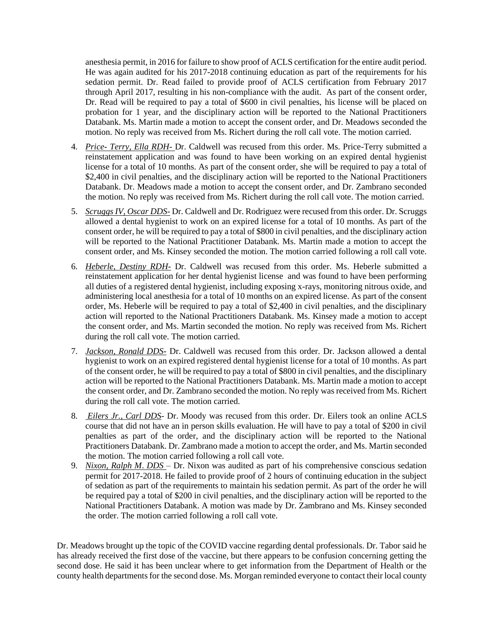anesthesia permit, in 2016 for failure to show proof of ACLS certification for the entire audit period. He was again audited for his 2017-2018 continuing education as part of the requirements for his sedation permit. Dr. Read failed to provide proof of ACLS certification from February 2017 through April 2017, resulting in his non-compliance with the audit. As part of the consent order, Dr. Read will be required to pay a total of \$600 in civil penalties, his license will be placed on probation for 1 year, and the disciplinary action will be reported to the National Practitioners Databank. Ms. Martin made a motion to accept the consent order, and Dr. Meadows seconded the motion. No reply was received from Ms. Richert during the roll call vote. The motion carried.

- 4. *Price- Terry, Ella RDH-* Dr. Caldwell was recused from this order. Ms. Price-Terry submitted a reinstatement application and was found to have been working on an expired dental hygienist license for a total of 10 months. As part of the consent order, she will be required to pay a total of \$2,400 in civil penalties, and the disciplinary action will be reported to the National Practitioners Databank. Dr. Meadows made a motion to accept the consent order, and Dr. Zambrano seconded the motion. No reply was received from Ms. Richert during the roll call vote. The motion carried.
- 5. *Scruggs IV, Oscar DDS-* Dr. Caldwell and Dr. Rodriguez were recused from this order. Dr. Scruggs allowed a dental hygienist to work on an expired license for a total of 10 months. As part of the consent order, he will be required to pay a total of \$800 in civil penalties, and the disciplinary action will be reported to the National Practitioner Databank. Ms. Martin made a motion to accept the consent order, and Ms. Kinsey seconded the motion. The motion carried following a roll call vote.
- 6. *Heberle, Destiny RDH-* Dr. Caldwell was recused from this order. Ms. Heberle submitted a reinstatement application for her dental hygienist license and was found to have been performing all duties of a registered dental hygienist, including exposing x-rays, monitoring nitrous oxide, and administering local anesthesia for a total of 10 months on an expired license. As part of the consent order, Ms. Heberle will be required to pay a total of \$2,400 in civil penalties, and the disciplinary action will reported to the National Practitioners Databank. Ms. Kinsey made a motion to accept the consent order, and Ms. Martin seconded the motion. No reply was received from Ms. Richert during the roll call vote. The motion carried.
- 7. *Jackson, Ronald DDS-* Dr. Caldwell was recused from this order. Dr. Jackson allowed a dental hygienist to work on an expired registered dental hygienist license for a total of 10 months. As part of the consent order, he will be required to pay a total of \$800 in civil penalties, and the disciplinary action will be reported to the National Practitioners Databank. Ms. Martin made a motion to accept the consent order, and Dr. Zambrano seconded the motion. No reply was received from Ms. Richert during the roll call vote. The motion carried.
- 8. *Eilers Jr., Carl DDS* Dr. Moody was recused from this order. Dr. Eilers took an online ACLS course that did not have an in person skills evaluation. He will have to pay a total of \$200 in civil penalties as part of the order, and the disciplinary action will be reported to the National Practitioners Databank. Dr. Zambrano made a motion to accept the order, and Ms. Martin seconded the motion. The motion carried following a roll call vote.
- 9. *Nixon, Ralph M*. *DDS* Dr. Nixon was audited as part of his comprehensive conscious sedation permit for 2017-2018. He failed to provide proof of 2 hours of continuing education in the subject of sedation as part of the requirements to maintain his sedation permit. As part of the order he will be required pay a total of \$200 in civil penalties, and the disciplinary action will be reported to the National Practitioners Databank. A motion was made by Dr. Zambrano and Ms. Kinsey seconded the order. The motion carried following a roll call vote.

Dr. Meadows brought up the topic of the COVID vaccine regarding dental professionals. Dr. Tabor said he has already received the first dose of the vaccine, but there appears to be confusion concerning getting the second dose. He said it has been unclear where to get information from the Department of Health or the county health departments for the second dose. Ms. Morgan reminded everyone to contact their local county